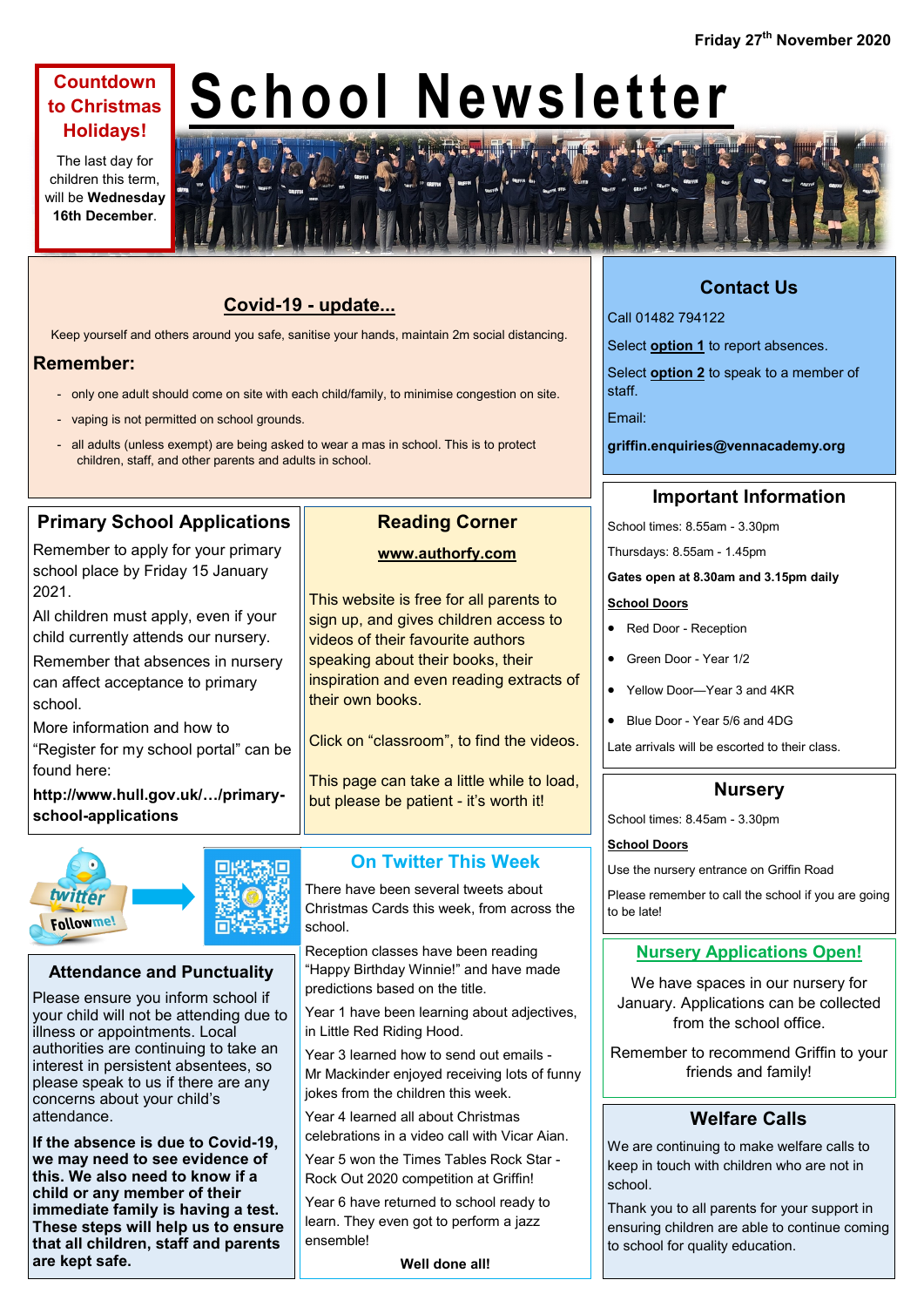# **Countdown to Christmas Holidays!**

The last day for children this term, will be **Wednesday 16th December**.

# **School Newsletter**



# **Covid-19 - update...**

Keep yourself and others around you safe, sanitise your hands, maintain 2m social distancing.

## **Remember:**

- only one adult should come on site with each child/family, to minimise congestion on site.
- vaping is not permitted on school grounds.
- all adults (unless exempt) are being asked to wear a mas in school. This is to protect children, staff, and other parents and adults in school.

# **Primary School Applications**

Remember to apply for your primary school place by Friday 15 January 2021.

All children must apply, even if your child currently attends our nursery.

Remember that absences in nursery can affect acceptance to primary school.

More information and how to "Register for my school portal" can be found here:

**http://www.hull.gov.uk/…/primaryschool-applications**



#### **Attendance and Punctuality**

Please ensure you inform school if your child will not be attending due to illness or appointments. Local authorities are continuing to take an interest in persistent absentees, so please speak to us if there are any concerns about your child's attendance.

**If the absence is due to Covid-19, we may need to see evidence of this. We also need to know if a child or any member of their immediate family is having a test. These steps will help us to ensure that all children, staff and parents are kept safe.**

# **Reading Corner**

#### **www.authorfy.com**

This website is free for all parents to sign up, and gives children access to videos of their favourite authors speaking about their books, their inspiration and even reading extracts of their own books.

Click on "classroom", to find the videos.

This page can take a little while to load, but please be patient - it's worth it!

# **On Twitter This Week**

There have been several tweets about Christmas Cards this week, from across the school.

Reception classes have been reading "Happy Birthday Winnie!" and have made predictions based on the title.

Year 1 have been learning about adjectives, in Little Red Riding Hood.

Year 3 learned how to send out emails - Mr Mackinder enjoyed receiving lots of funny jokes from the children this week.

Year 4 learned all about Christmas celebrations in a video call with Vicar Aian.

Year 5 won the Times Tables Rock Star - Rock Out 2020 competition at Griffin!

Year 6 have returned to school ready to learn. They even got to perform a jazz ensemble!

**Well done all!**

# **Contact Us**

Call 01482 794122

Select **option 1** to report absences.

Select **option 2** to speak to a member of staff.

Email:

**griffin.enquiries@vennacademy.org**

# **Important Information**

School times: 8.55am - 3.30pm

Thursdays: 8.55am - 1.45pm

#### **Gates open at 8.30am and 3.15pm daily**

#### **School Doors**

- Red Door Reception
- Green Door Year 1/2
- Yellow Door—Year 3 and 4KR
- Blue Door Year 5/6 and 4DG

Late arrivals will be escorted to their class.

#### **Nursery**

School times: 8.45am - 3.30pm

#### **School Doors**

Use the nursery entrance on Griffin Road

Please remember to call the school if you are going to be late!

## **Nursery Applications Open!**

We have spaces in our nursery for January. Applications can be collected from the school office.

Remember to recommend Griffin to your friends and family!

## **Welfare Calls**

We are continuing to make welfare calls to keep in touch with children who are not in school.

Thank you to all parents for your support in ensuring children are able to continue coming to school for quality education.